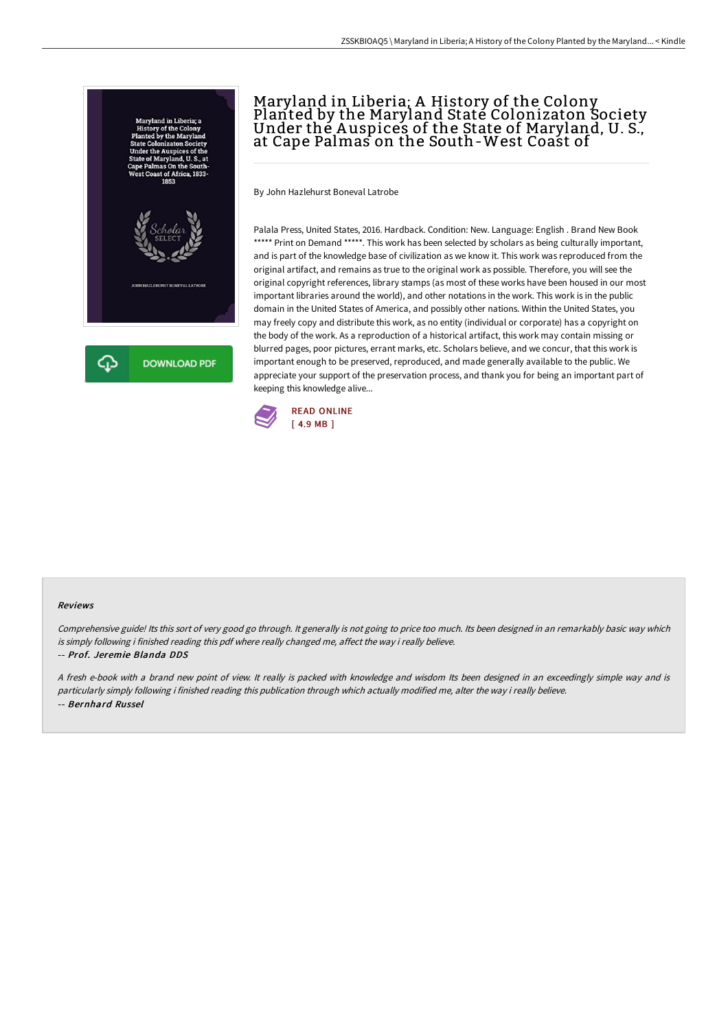

# Maryland in Liberia; A History of the Colony Planted by the Maryland State Colonizaton Society<br>Under the Auspices of the State of Maryland, U. S., at Cape Palmas on the South-West Coast of

By John Hazlehurst Boneval Latrobe

Palala Press, United States, 2016. Hardback. Condition: New. Language: English . Brand New Book \*\*\*\*\* Print on Demand \*\*\*\*\*. This work has been selected by scholars as being culturally important, and is part of the knowledge base of civilization as we know it. This work was reproduced from the original artifact, and remains as true to the original work as possible. Therefore, you will see the original copyright references, library stamps (as most of these works have been housed in our most important libraries around the world), and other notations in the work. This work is in the public domain in the United States of America, and possibly other nations. Within the United States, you may freely copy and distribute this work, as no entity (individual or corporate) has a copyright on the body of the work. As a reproduction of a historical artifact, this work may contain missing or blurred pages, poor pictures, errant marks, etc. Scholars believe, and we concur, that this work is important enough to be preserved, reproduced, and made generally available to the public. We appreciate your support of the preservation process, and thank you for being an important part of keeping this knowledge alive...



#### Reviews

Comprehensive guide! Its this sort of very good go through. It generally is not going to price too much. Its been designed in an remarkably basic way which is simply following i finished reading this pdf where really changed me, affect the way i really believe. -- Prof. Jeremie Blanda DDS

<sup>A</sup> fresh e-book with <sup>a</sup> brand new point of view. It really is packed with knowledge and wisdom Its been designed in an exceedingly simple way and is particularly simply following i finished reading this publication through which actually modified me, alter the way i really believe. -- Bernhard Russel